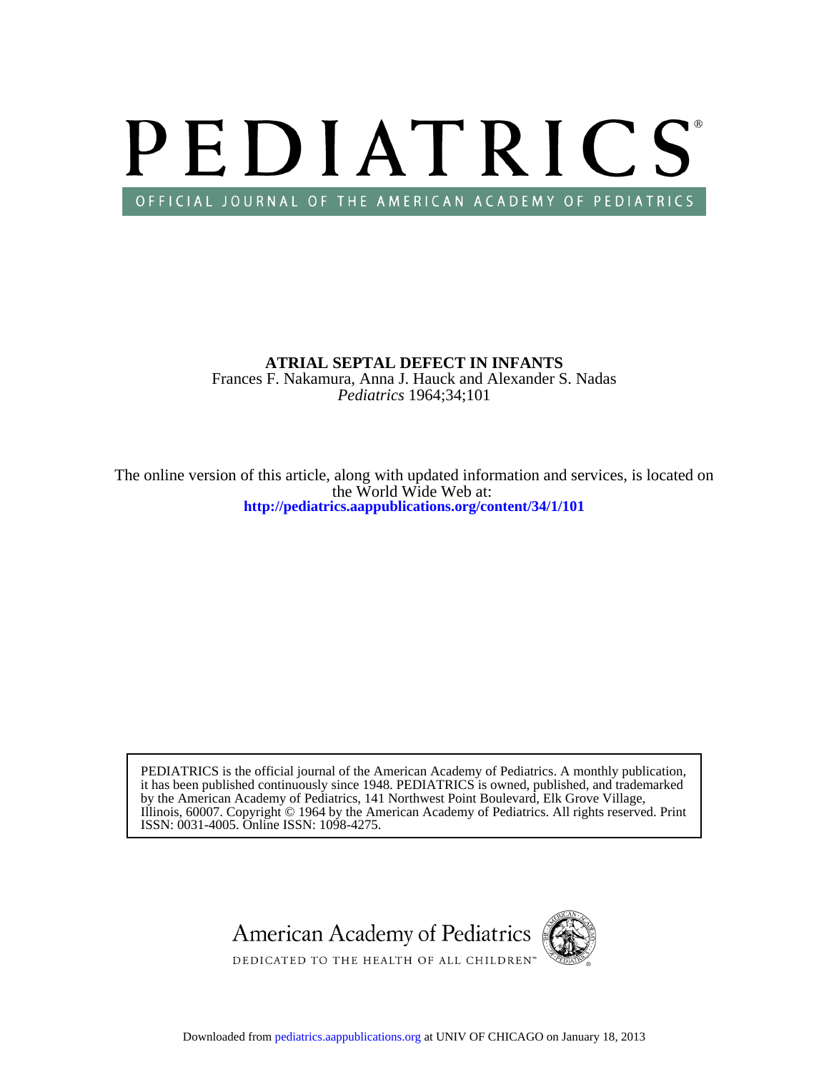

*Pediatrics* 1964;34;101 Frances F. Nakamura, Anna J. Hauck and Alexander S. Nadas **ATRIAL SEPTAL DEFECT IN INFANTS**

**<http://pediatrics.aappublications.org/content/34/1/101>** the World Wide Web at: The online version of this article, along with updated information and services, is located on

ISSN: 0031-4005. Online ISSN: 1098-4275. Illinois, 60007. Copyright © 1964 by the American Academy of Pediatrics. All rights reserved. Print by the American Academy of Pediatrics, 141 Northwest Point Boulevard, Elk Grove Village, it has been published continuously since 1948. PEDIATRICS is owned, published, and trademarked PEDIATRICS is the official journal of the American Academy of Pediatrics. A monthly publication,



Downloaded from [pediatrics.aappublications.org](http://pediatrics.aappublications.org/) at UNIV OF CHICAGO on January 18, 2013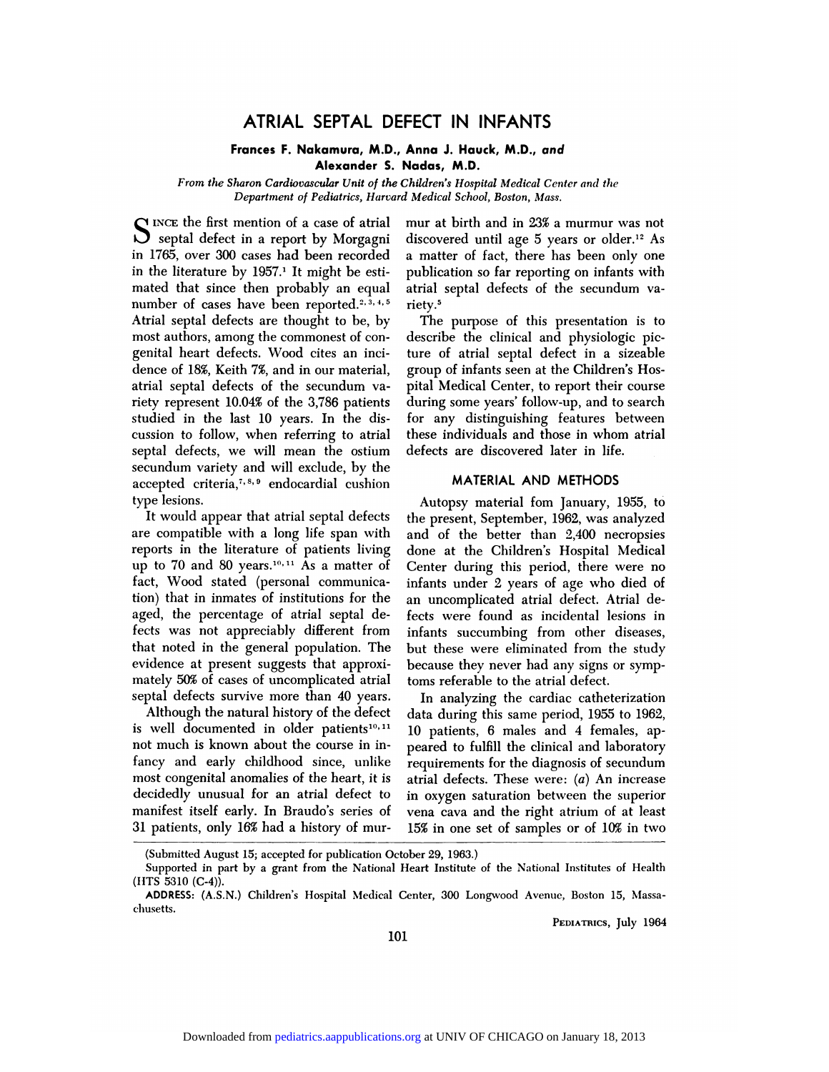# ATRIAL SEPTAL DEFECT IN INFANTS<br>
ances F. Nakamura, M.D., Anna J. Hauck, M.D., and

# **FRIAL SEPTAL DEFECT IN INFANTS**<br>Frances F. Nakamura, M.D., Anna J. Hauck, M.D., and<br>Alexander S. Nadas, M.D. **SEPTAL DEFECT IN It<br>kamura, M.D., Anna J. Hauc<br>Alexander S. Nadas, M.D.**<br>cular Unit of the Children's Hosnit

**Alexander S. Nadas, M.D.**<br>*From the Sharon Cardiovascular Unit of the Children's Hospital Medical Center and the*<br>*Department of Pediatrics, Harvard Medical School, Boston, Mass.* **Frances F. Nakamura, M.D., Anna J. Hauck, M.D., and<br>** *Alexander S. Nadas, M.D.***<br>** *Sharon Cardiovascular Unit of the Children's Hospital Medical Center and the Department of Pediatrics, Harvard Medical School, Boston, Mass* 

**Alexander 5.**<br>From the Sharon Cardiovascular Unit of the<br>Department of Pediatrics, Harvar<br>SINCE the first mention of a case of atrial<br>Simple septal defect in a report by Morgagni From the Sharon Cardiovascular Unit of the Department of Pediatrics, Haron<br>NCE the first mention of a case of atrial<br>septal defect in a report by Morgagni<br>165, over 300 cases had been recorded Department of Pediatrics, Harvard<br>
S INCE the first mention of a case of atrial<br>
in 1765, over 300 cases had been recorded<br>
in the literature by 1957.<sup>1</sup> It might be esti-S INCE the first mention of a case of atrial<br>septal defect in a report by Morgagni<br>in 1765, over 300 cases had been recorded<br>in the literature by 1957.<sup>1</sup> It might be esti-<br>mated that since then probably an equal SINCE the first mention or a case or atrial<br>in 1765, over 300 cases had been recorded<br>in the literature by 1957.<sup>1</sup> It might be esti-<br>mated that since then probably an equal<br>number of cases have been reported.<sup>2, 3, 4, 5</sup> Septal defect in a report by Morgagnicus<br>in 1765, over 300 cases had been recorded a r<br>in the literature by 1957.<sup>1</sup> It might be esti-<br>munder of cases have been reported.<sup>2,3,4,5</sup> riet<br>Atrial septal defects are thought to movement and that since then probably an equal<br>mumber of cases have been reported.<sup>2, 3, 4, 1</sup><br>Atrial septal defects are thought to be, by<br>most authors, among the commonest of con-<br>genital heart defects. Wood cites an inci mated that since then probably an equa<br>number of cases have been reported.<sup>2, 3, 4,</sup><br>Atrial septal defects are thought to be, by<br>most authors, among the commonest of con<br>genital heart defects. Wood cites an inci<br>dence of 1 Atrial septal defects are thought to be, by<br>most authors, among the commonest of con-<br>genital heart defects. Wood cites an inci-<br>dence of 18%, Keith 7%, and in our material,<br>atrial septal defects of the secundum va-Attial septal defects are thought to be, by<br>most authors, among the commonest of con-<br>genital heart defects. Wood cites an inci-<br>dence of 18%, Keith 7%, and in our material,<br>atrial septal defects of the secundum va-<br>riety genital heart defects. Wood cites an inci-<br>dence of 18%, Keith 7%, and in our material,<br>atrial septal defects of the secundum va-<br>riety represent 10.04% of the 3,786 patients<br>studied in the last 10 years. In the dis-<br>cussi atrial septal defects of the secundum va-<br>riety represent 10.04% of the 3,786 patients durin<br>studied in the last 10 years. In the dis-<br>for a<br>cussion to follow, when referring to atrial these<br>septal defects, we will mean th riety represent 10.04% of the 3,786 patients<br>studied in the last 10 years. In the dis-<br>cussion to follow, when referring to atrial th<br>septal defects, we will mean the ostium de<br>secundum variety and will exclude, by the<br>acc studied in the last To years. In the dis-<br>cussion to follow, when referring to atrial t<br>septal defects, we will mean the ostium d<br>secundum variety and will exclude, by the<br>accepted criteria,<sup>7,8,9</sup> endocardial cushion<br>type septal defects, we will mean the ostium de<br>secundum variety and will exclude, by the<br>accepted criteria,<sup>7,8,9</sup> endocardial cushion<br>type lesions.<br>It would appear that atrial septal defects th<br>are compatible with a long life

accepted criteria, and endocardial custion<br>type lesions.<br>It would appear that atrial septal defects<br>are compatible with a long life span with<br>reports in the literature of patients living<br>up to 70 and 80 years.<sup>10,11</sup> As a Upe iesions.<br>
It would appear that atrial septal defects<br>
are compatible with a long life span with<br>
reports in the literature of patients living<br>
up to 70 and 80 years.<sup>10,11</sup> As a matter of (<br>
fact, Wood stated (persona It would appear that attrait septar de<br>are compatible with a long life span<br>reports in the literature of patients l<br>up to 70 and 80 years.<sup>10,11</sup> As a matt<br>fact, Wood stated (personal commu<br>tion) that in inmates of institu are compatible with a long life span with are<br>reports in the literature of patients living do<br>up to 70 and 80 years.<sup>10,11</sup> As a matter of Co<br>fact, Wood stated (personal communica-<br>tion) that in inmates of institutions for reports in the interature or patients iiving<br>up to 70 and 80 years.<sup>10,11</sup> As a matter of<br>fact, Wood stated (personal communica-<br>tion) that in inmates of institutions for the<br>aged, the percentage of atrial septal de-<br>fects up to 70 and 80 years.<sup>10,11</sup> As a matter of Center during this period, there were no fact, Wood stated (personal communica-<br>facts was not infants under 2 years of age who died of<br>tion) that in inmates of institutions for ract, wood stated (personal communica-<br>tion) that in inmates of institutions for the<br>aged, the percentage of atrial septal de-<br>fects was not appreciably different from<br>that noted in the general population. The<br>evidence at Figure 1 at m infinites of institutions for<br>aged, the percentage of atrial septal<br>fects was not appreciably different fr<br>that noted in the general population.<br>widence at present suggests that appro<br>mately 50% of cases of u aged, the percentage of atrial septal defects was not appreciably different from<br>that noted in the general population. The<br>evidence at present suggests that approxi-<br>mately 50% of cases of uncomplicated atrial<br>septal defec sects was not appreciably different from<br>that noted in the general population. The<br>evidence at present suggests that approxi-<br>mately 50% of cases of uncomplicated atrial<br>septal defects survive more than 40 years.<br>Although evidence at present suggests that approximately 50% of cases of uncomplicated atrial septal defects survive more than 40 years.<br>Although the natural history of the defect is well documented in older patients<sup>10,11</sup>

(Submitted August 15; accepted for publication October 29, 1963.)<br>Supported in part by a grant from the National Heart Institute of Supported in part by a grant from the National Heart Institute of evidence at present suggests that approximately 50% of cases of uncomplicated atrial<br>septal defects survive more than 40 years.<br>Although the natural history of the defect<br>is well documented in older patients<sup>10,11</sup><br>not muc Fancy and early childhood since, unlike most congenital anomalies of the heart, it is at decidedly unusual for an atrial defect to in decidedly unusual for an atrial defect to in-<br>mot much is known about the course in in-<br>fancy and early childhood since, unlike req<br>most congenital anomalies of the heart, it is atri-<br>decidedly unusual for an atrial defect not much is known about the course in in-<br>fancy and early childhood since, unlike requirements for the diagnosis of secundum<br>most congenital anomalies of the heart, it is atrial defects. These were: (*a*) An increase<br>deci decidedly unusual for an atrial defect to

**Nadas, M.D.**<br>Children's Hospital Medical Center and the<br>I Medical School, Boston, Mass.<br>mur at birth and in 23% a murmur was not<br>discovered until age 5 years or older.<sup>12</sup> As Children's Hospital Medical Center and the<br>I Medical School, Boston, Mass.<br>mur at birth and in 23% a murmur was not<br>discovered until age 5 years or older.<sup>12</sup> As<br>a matter of fact, there has been only one<br>publication so far mur at birth and in 23% a murmur was not<br>discovered until age 5 years or older.<sup>12</sup> As<br>a matter of fact, there has been only one<br>publication so far reporting on infants with<br>atrial septal defects of the secundum vamur at bith and in 25% a murniur was not<br>discovered until age 5 years or older.<sup>12</sup> As<br>a matter of fact, there has been only one<br>publication so far reporting on infants with<br>atrial septal defects of the secundum va-<br>riety. riety.<sup>5</sup> a matter of fact, there has been only one<br>publication so far reporting on infants with<br>atrial septal defects of the secundum va-<br>riety.<sup>5</sup><br>The purpose of this presentation is to

atrial septal defects of the secundum variety.<sup>5</sup><br>The purpose of this presentation is to<br>describe the clinical and physiologic pic-<br>ture of atrial septal defect in a sizeable atrial septal defects of the secundum variety.<sup>5</sup><br>The purpose of this presentation is to<br>describe the clinical and physiologic pic-<br>ture of atrial septal defect in a sizeable<br>group of infants seen at the Children's Hosriety.<br>The purpose of this presentation is to<br>describe the clinical and physiologic pic<br>ture of atrial septal defect in a sizeable<br>group of infants seen at the Children's Hos<br>pital Medical Center, to report their cours The purpose or this presentation is to<br>describe the clinical and physiologic pic-<br>ture of atrial septal defect in a sizeable<br>group of infants seen at the Children's Hos-<br>pital Medical Center, to report their course<br>during describe the clinical and physiologic pic-<br>ture of atrial septal defect in a sizeable<br>group of infants seen at the Children's Hos-<br>pital Medical Center, to report their course<br>during some years' follow-up, and to search<br>fo group of infants seen at the Children's Hospital Medical Center, to report their course<br>during some years' follow-up, and to search<br>for any distinguishing features between<br>these individuals and those in whom atrial<br>defects phar Medical Center, to report their coduring some years' follow-up, and to see<br>for any distinguishing features bett<br>these individuals and those in whom a<br>defects are discovered later in life. for any distinguishing features between<br>these individuals and those in whom atrial<br>defects are discovered later in life.<br>MATERIAL AND METHODS

See materials and those in whom attains<br>fects are discovered later in life.<br>MATERIAL AND METHODS<br>Autopsy material fom January, 1955, to<br>e present, September, 1962, was analyzed MATERIAL AND METHODS<br>
Autopsy material fom January, 1955, to<br>
the present, September, 1962, was analyzed<br>
and of the better than 2,400 necropsies MATERIAL AND METHODS<br>Autopsy material fom January, 1955, to<br>the present, September, 1962, was analyzed<br>and of the better than 2,400 necropsies<br>done at the Children's Hospital Medical Autopsy material fom January, 1955, to<br>the present, September, 1962, was analyzed<br>and of the better than 2,400 necropsies<br>done at the Children's Hospital Medical<br>Center during this period, there were no Autopsy material form January, 1933, to<br>the present, September, 1962, was analyzed<br>and of the better than 2,400 necropsies<br>done at the Children's Hospital Medical<br>Center during this period, there were no<br>infants under 2 ye the present, september, 1962, was analyzed<br>and of the better than 2,400 necropsies<br>done at the Children's Hospital Medical<br>Center during this period, there were no<br>infants under 2 years of age who died of<br>an uncomplicated and of the better than 2,400 hecropsies<br>done at the Children's Hospital Medical<br>Center during this period, there were no<br>infants under 2 years of age who died of<br>an uncomplicated atrial defect. Atrial de-<br>fects were found Fenter during this period, there were no<br>infants under 2 years of age who died of<br>an uncomplicated atrial defect. Atrial de-<br>fects were found as incidental lesions in<br>infants succumbing from other diseases, Center during this period, there were no<br>infants under 2 years of age who died of<br>an uncomplicated atrial defect. Atrial de-<br>fects were found as incidental lesions in<br>infants succumbing from other diseases,<br>but these were miants under 2 years of age who died of<br>an uncomplicated atrial defect. Atrial de-<br>fects were found as incidental lesions in<br>infants succumbing from other diseases,<br>but these were eliminated from the study<br>because they nev an uncomplicated attial defect. Attial detects were found as incidental lesions<br>infants succumbing from other disease<br>but these were eliminated from the stude<br>because they never had any signs or sym<br>toms referable to the a but these were eliminated from the study<br>because they never had any signs or symp-<br>toms referable to the atrial defect.<br>In analyzing the cardiac catheterization Figure 1 and the catheterization<br>In these were eliminated from the study<br>cause they never had any signs or symp-<br>ms referable to the atrial defect.<br>In analyzing the cardiac catheterization<br>ta during this same period, 1955

but these were emminated from the study<br>because they never had any signs or symp-<br>toms referable to the atrial defect.<br>In analyzing the cardiac catheterization<br>data during this same period, 1955 to 1962,<br>10 patients, 6 mal because they hever had any signs of symp-<br>toms referable to the atrial defect.<br>In analyzing the cardiac catheterization<br>data during this same period, 1955 to 1962,<br>10 patients, 6 males and 4 females, ap-<br>peared to fulfill Freedom to the attracted.<br>In analyzing the cardiac catheterization<br>data during this same period, 1955 to 1962,<br>10 patients, 6 males and 4 females, ap-<br>peared to fulfill the clinical and laboratory<br>requirements for the diag In analyzing the cardiac caliber and data during this same period, 1955 to 1962,<br>10 patients, 6 males and 4 females, appeared to fulfill the clinical and laboratory<br>requirements for the diagnosis of secundum<br>atrial defects 10 patients, 6 males and 4 females, appeared to fulfill the clinical and laboratory requirements for the diagnosis of secundum atrial defects. These were:  $(a)$  An increase in oxygen saturation between the superior Io patients, o males and 4 females, ap-<br>peared to fulfill the clinical and laboratory<br>requirements for the diagnosis of secundum<br>atrial defects. These were: (a) An increase<br>in oxygen saturation between the superior<br>vena ca peared to full the chilical and faboratory<br>requirements for the diagnosis of secundum<br>atrial defects. These were: (*a*) An increase<br>in oxygen saturation between the superior<br>vena cava and the right atrium of at least<br>15% i *16 in our defects.* These were: (*a*) An increase<br>*in oxygen saturation between the superior*<br>*15%* in one set of samples or of 10% in two

**PEDIATRICS,** July 1964

patients, only 16% had a history of mur-<br>(Submitted August 15; accepted for publication October 29, 1963.)<br>Supported in part by a grant from the National Heart Institute of the National Institutes of Health<br>TS 5310 (C-4)). 31 patients, only 16% had a history of mur-<br>
(Submitted August 15; accepted for publication October 29, 1963.)<br>
Supported in part by a grant from the National Heart Institute of the National Institutes of Health<br>
(HTS 5310 (Submitted August 15; accepted for publication October 29, 1963.)<br>Supported in part by a grant from the National Heart Institute of the National Institutes of Health<br>(HTS 5310 (C-4)).<br>**ADDRESS:** (A.S.N.) Children's Hospita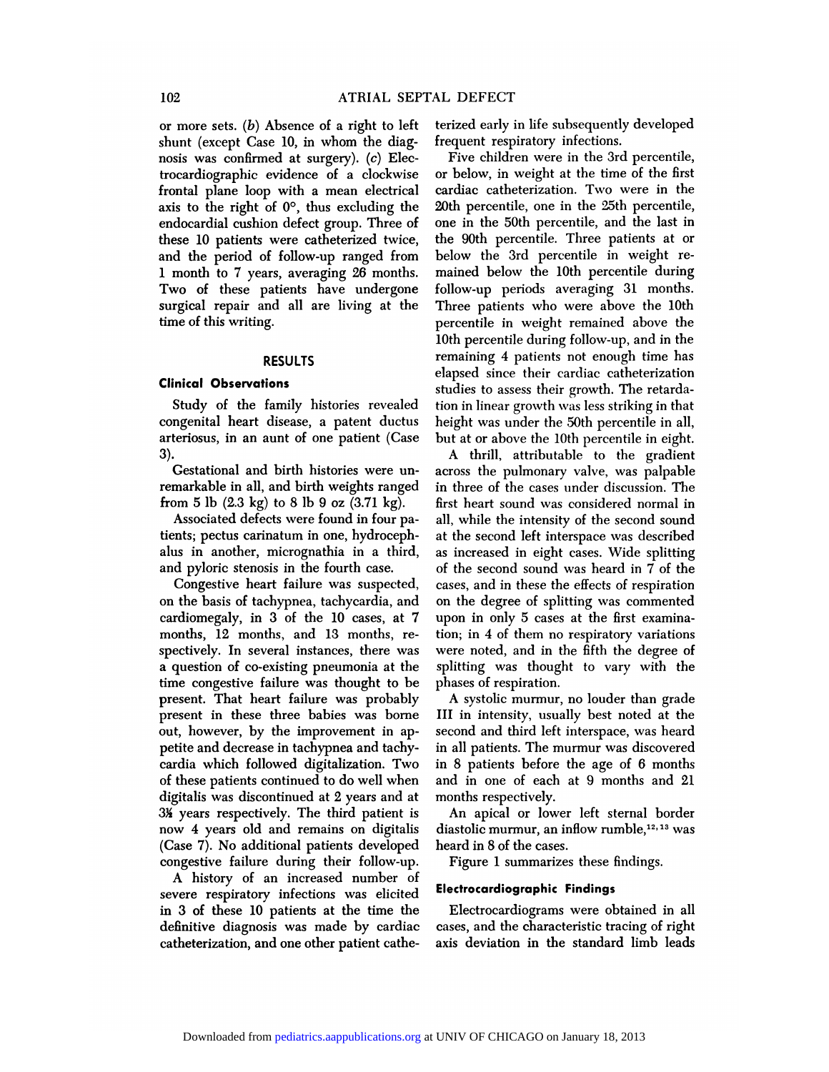or more sets. *(b)* Absence of a right to left 102 ATRIAL SE<br>or more sets. (b) Absence of a right to les<br>shunt (except Case 10, in whom the diag-<br>nosis was confirmed at surgery). (c) Elee 102 ATRIAL S<br>or more sets. (b) Absence of a right to le<br>shunt (except Case 10, in whom the dia<br>nosis was confirmed at surgery). (c) Ele<br>trocardiographic evidence of a clockwi or more sets. (b) Absence of a right to left<br>shunt (except Case 10, in whom the diag-<br>nosis was confirmed at surgery). (c) Elec-<br>trocardiographic evidence of a clockwise<br>frontal plane loop with a mean electrical shunt (except Case 10, in whom the diagnosis was confirmed at surgery). (c) Electrocardiographic evidence of a clockwise frontal plane loop with a mean electrical axis to the right of  $0^{\circ}$ , thus excluding the shunt (except Case 10, in whom the diag-<br>nosis was confirmed at surgery). (c) Elec-<br>trocardiographic evidence of a clockwise or<br>frontal plane loop with a mean electrical ca<br>axis to the right of  $0^{\circ}$ , thus excluding the Frocardiographic evidence of a clockwise<br>frontal plane loop with a mean electrical<br>axis to the right of  $0^\circ$ , thus excluding the<br>endocardial cushion defect group. Three of<br>these 10 patients were catheterized twice, these 10 patients were catheterized twice, and the period of follow-up ranged from and the period of follow-up ranged from Frontal plane loop with a mean electrical cardia<br>axis to the right of  $0^{\circ}$ , thus excluding the 20th p<br>endocardial cushion defect group. Three of one is<br>these 10 patients were catheterized twice, the 9<br>and the period of axis to the right of  $\sigma$ , thus excluding the<br>endocardial cushion defect group. Three of<br>these 10 patients were catheterized twice,<br>and the period of follow-up ranged from<br>1 month to 7 years, averaging 26 months.<br>Two of th these 10 patients were catheterized twice,<br>and the period of follow-up ranged from<br>1 month to 7 years, averaging 26 months.<br>Two of these patients have undergone surgical repairs were called trace, the called trace, and the period of follow-up ranged from below and the proof.<br>Two of these patients have undergone for surgical repair and all are living at the Time of this writing. and the period of<br>1 month to 7 years<br>Two of these pair<br>surgical repair and<br>time of this writing. **Clinical Observations<br>RESULT:<br>Clinical Observations**<br>Study of the family

### RESULTS

RESULTS<br>
inical Observations<br>
Study of the family histories revealed<br>
ingenital heart disease, a patent ductus RESULTS<br>Clinical Observations<br>Study of the family histories revealed<br>congenital heart disease, a patent ductus<br>arteriosus, in an aunt of one patient (Case Clinical Observations<br>
Study of the family histories revealed<br>
congenital heart disease, a patent ductus<br>
arteriosus, in an aunt of one patient (Case)<br>
3). 3). Study of the family instories revealed<br>ngenital heart disease, a patent ductus<br>teriosus, in an aunt of one patient (Case<br>Gestational and birth histories were un-<br>markable in all, and birth weights ranged

remarkable in all, and birth histories were un-<br>arteriosus, in an aunt of one patient (Case<br>3).<br>Cestational and birth histories were un-<br>remarkable in all, and birth weights ranged<br>from 5 lb (2.3 kg) to 8 lb 9 oz (3.71 kg) artenosus, in an aunt of one patient (Case<br>3).<br>Gestational and birth histories were un-<br>remarkable in all, and birth weights ranged<br>from 5 lb (2.3 kg) to 8 lb 9 oz (3.71 kg).<br>Associated defects were found in four pa-Gestational and birth histories were un-<br>markable in all, and birth weights ranged<br>om 5 lb (2.3 kg) to 8 lb 9 oz (3.71 kg).<br>Associated defects were found in four pa-<br>nts; pectus carinatum in one, hydroceph-

Gestationar and birth mistories were<br>remarkable in all, and birth weights rainom 5 lb (2.3 kg) to 8 lb 9 oz (3.71 k<br>Associated defects were found in four<br>tients; pectus carinatum in one, hydroc<br>alus in another, micrognathi remarkable in an, and birth weights ranged<br>from 5 lb (2.3 kg) to 8 lb 9 oz (3.71 kg).<br>Associated defects were found in four pa-<br>tients; pectus carinatum in one, hydroceph-<br>alus in another, micrognathia in a third,<br>and pylo The fourth case of the fourth case.<br>Associated defects were found in four p<br>tients; pectus carinatum in one, hydrocep<br>alus in another, micrognathia in a thi<br>and pyloric stenosis in the fourth case.<br>Congestive heart failure Associated defects were found in four paints; pectus carinatum in one, hydroceph<br>is in another, micrognathia in a third<br>d pyloric stenosis in the fourth case.<br>Congestive heart failure was suspected<br>the basis of tachypnea,

and pyloric stenosis in the fourth case. The 11 case of the 10 cases of the 10 cases of the 10 cases, at 7 cases, at 7 cases, 12 months, 12 months, and 13 months, reand pyfort stenosis in the fourth case.<br>Congestive heart failure was suspected,<br>on the basis of tachypnea, tachycardia, and<br>cardiomegaly, in 3 of the 10 cases, at 7<br>months, 12 months, and 13 months, re-<br>spectively. In seve Congestive heart failure was suspected,<br>on the basis of tachypnea, tachycardia, and<br>cardiomegaly, in 3 of the 10 cases, at 7<br>months, 12 months, and 13 months, re-<br>spectively. In several instances, there was<br>a question of c cardiomegaly, in 3 of the 10 cases, at 7 upon in only 5 cases at the first examina-<br>months, 12 months, and 13 months, re-<br>tion; in 4 of them no respiratory variations<br>spectively. In several instances, there was were noted, eatulomegaly, in 3 of the 10 cases, at 7 up<br>months, 12 months, and 13 months, re-<br>spectively. In several instances, there was we<br>a question of co-existing pneumonia at the sp<br>time congestive failure was thought to be ph<br>pr months, 12 months, and 13 months, re-<br>spectively. In several instances, there was<br>a question of co-existing pneumonia at the<br>time congestive failure was thought to be<br>present. That heart failure was probably<br>present in the spectively. In several instances, there was<br>a question of co-existing pneumonia at the<br>time congestive failure was thought to be<br>present. That heart failure was probably<br>present in these three babies was borne l<br>out, howev a question or co-existing pheumoma at the<br>time congestive failure was thought to be<br>present. That heart failure was probably<br>present in these three babies was borne<br>out, however, by the improvement in ap-<br>petite and decrea time congestive railine was thought to<br>present. That heart failure was probab<br>present in these three babies was bor<br>out, however, by the improvement in a<br>petite and decrease in tachypnea and tach<br>cardia which followed digi present. That heart failure was probably<br>present in these three babies was borne II<br>out, however, by the improvement in ap-<br>petite and decrease in tachypnea and tachy-<br>in cardia which followed digitalization. Two in<br>of the present in these three bables was bothe<br>out, however, by the improvement in ap-<br>petite and decrease in tachypnea and tachy-<br>cardia which followed digitalization. Two<br>of these patients continued to do well when<br>digitalis wa out, nowever, by the improvement in appetite and decrease in tachypnea and tachy-<br>cardia which followed digitalization. Two<br>of these patients continued to do well when<br>digitalis was discontinued at 2 years and at<br>3½ years pette and decrease in tachyphea and tachy-<br>cardia which followed digitalization. Two<br>of these patients continued to do well when<br>digitalis was discontinued at 2 years and at<br> $3\frac{1}{2}$  years respectively. The third patient cardia winch followed digitalization. Two<br>of these patients continued to do well when<br>digitalis was discontinued at 2 years and at<br>3% years respectively. The third patient is<br>now 4 years old and remains on digitalis<br>(Case digitalis was discontinued at 2 years and at 3% years respectively. The third patient is now 4 years old and remains on digitalis (Case 7). No additional patients developed congestive failure during their follow-up. digitals was discontinued at 2 years and a<br>3% years respectively. The third patient is<br>now 4 years old and remains on digitalis<br>(Case 7). No additional patients developed<br>congestive failure during their follow-up<br>A history years respectively. The time patient is<br>w 4 years old and remains on digitalis diase 7). No additional patients developed history of an increased number of<br>A history of an increased number of<br>vere respiratory infections wa

show 4 years old and remains on digitally conduct (Case 7). No additional patients developed heaps congestive failure during their follow-up.<br>A history of an increased number of severe respiratory infections was elicited i **Case 1).** No additional patients developed the congestive failure during their follow-up.<br>
A history of an increased number of severe respiratory infections was elicited in 3 of these 10 patients at the time the definitiv congestive rantife during their follow-up.<br>
A history of an increased number of<br>
severe respiratory infections was elicited<br>
in 3 of these 10 patients at the time the<br>
definitive diagnosis was made by cardiac<br>
catheterizat A instory of an increased number<br>severe respiratory infections was elicite<br>in 3 of these 10 patients at the time t<br>definitive diagnosis was made by cardi<br>catheterization, and one other patient cath

ATRIAL SEPTAL DEFECT<br>a right to left terized early in life subsequently developed frequent respiratory infections.

FICT<br>Fized early in life subsequently developeer<br>equent respiratory infections.<br>Five children were in the 3rd percentile<br>below, in weight at the time of the firs terized early in life subsequently developed<br>frequent respiratory infections.<br>Five children were in the 3rd percentile,<br>or below, in weight at the time of the first<br>cardiac catheterization. Two were in the or below, in weight at the time of the first<br>cardiac catheterization. Two were in the<br>20th percentile, one in the 25th percentile, Five children were in the 3rd percentile<br>or below, in weight at the time of the firs<br>cardiac catheterization. Two were in th<br>20th percentile, one in the 25th percentile<br>one in the 50th percentile, and the last is rive emidien were in the 51d percentile,<br>or below, in weight at the time of the first<br>cardiac catheterization. Two were in the<br>20th percentile, one in the 25th percentile,<br>one in the 50th percentile, and the last in<br>the 90 or below, in weight at the time of the list<br>cardiac catheterization. Two were in the<br>20th percentile, one in the 25th percentile,<br>one in the 50th percentile, and the last in<br>the 90th percentile. Three patients at or<br>below 20th percentile, one in the 25th percentile,<br>20th percentile, one in the 25th percentile,<br>one in the 50th percentile, and the last in<br>the 90th percentile. Three patients at or<br>below the 3rd percentile in weight re-<br>mained zour percentile, one in the 20th percentile,<br>one in the 50th percentile, and the last in<br>the 90th percentile. Three patients at or<br>below the 3rd percentile in weight re-<br>mained below the 10th percentile during<br>follow-up pe one in the both percentile, and the fast in<br>the 90th percentile. Three patients at or<br>below the 3rd percentile in weight re-<br>mained below the 10th percentile during<br>follow-up periods averaging 31 months.<br>Three patients who the below the 3rd percentile in weight re-<br>mained below the 10th percentile during<br>follow-up periods averaging 31 months.<br>Three patients who were above the 10th<br>percentile in weight remained above the percentile in weight remained below the 10th percentile during<br>follow-up periods averaging 31 months.<br>Three patients who were above the 10th<br>percentile in weight remained above the<br>10th percentile during follow-up, and in mained before the roan percentile during<br>follow-up periods averaging 31 months.<br>Three patients who were above the 10th<br>percentile in weight remained above the<br>10th percentile during follow-up, and in the<br>remaining 4 patien remaining 4 periods averaging of monds.<br>Three patients who were above the 10th<br>percentile in weight remained above the<br>10th percentile during follow-up, and in the<br>remaining 4 patients not enough time has<br>elapsed since the percentile in weight remained above the<br>10th percentile during follow-up, and in the<br>remaining 4 patients not enough time has<br>elapsed since their cardiac catheterization<br>studies to assess their growth. The retardaremaining 4 patients not enough time has remaining 4 patients not enough time has<br>elapsed since their cardiac catheterization<br>studies to assess their growth. The retarda-<br>tion in linear growth was less striking in that<br>height was under the 50th percentile in all, elapsed since their cardiac catheterization<br>studies to assess their growth. The retarda-<br>tion in linear growth was less striking in that<br>height was under the 50th percentile in all,<br>but at or above the 10th percentile in e Figures to assess their growth. The retardation in linear growth was less striking in that<br>ight was under the 50th percentile in all,<br>it at or above the 10th percentile in eight.<br>A thrill, attributable to the gradient<br>ross

alus in another, micrognathia in a third, as increased in eight cases. Wide splitting<br>and pyloric stenosis in the fourth case. of the second sound was heard in 7 of the<br>Congestive heart failure was suspected, cases, and in From minear growth was less striking in that<br>height was under the 50th percentile in all,<br>but at or above the 10th percentile in eight.<br>A thrill, attributable to the gradient<br>across the pulmonary valve, was palpable<br>in thr in the cases where the cases we percentile in eight.<br>
A thrill, attributable to the gradient<br>
across the pulmonary valve, was palpable<br>
in three of the cases under discussion. The<br>
first heart sound was considered normal i A thrill, attributable to the gradient<br>across the pulmonary valve, was palpable<br>in three of the cases under discussion. The<br>first heart sound was considered normal in<br>all, while the intensity of the second sound<br>at the sec across the pumonary valve, was palpable<br>in three of the cases under discussion. The<br>first heart sound was considered normal in<br>all, while the intensity of the second sound<br>at the second left interspace was described<br>as inc in three of the cases under discussion. The<br>first heart sound was considered normal in<br>all, while the intensity of the second sound<br>at the second left interspace was described<br>as increased in eight cases. Wide splitting<br>of Inst heart sound was considered normar in<br>all, while the intensity of the second sound<br>at the second left interspace was described<br>as increased in eight cases. Wide splitting<br>of the second sound was heard in 7 of the<br>cases at the second left interspace was described at the second left interspace was described<br>as increased in eight cases. Wide splitting<br>of the second sound was heard in 7 of the<br>cases, and in these the effects of respiration<br>on the degree of splitting was commented<br>upon as increased in eight cases. Where spire<br>of the second sound was heard in 7 of<br>cases, and in these the effects of respirat<br>on the degree of splitting was commen<br>upon in only 5 cases at the first exami<br>tion; in 4 of them no of the second sound was heard in 7 of the<br>cases, and in these the effects of respiration<br>on the degree of splitting was commented<br>upon in only 5 cases at the first examina-<br>tion; in 4 of them no respiratory variations<br>were cases, and in these the enects of respiration<br>on the degree of splitting was commented<br>upon in only 5 cases at the first examina-<br>tion; in 4 of them no respiratory variations<br>were noted, and in the fifth the degree of<br>spli on the degree of spinting was commented<br>upon in only 5 cases at the first examina-<br>tion; in 4 of them no respiratory variations<br>were noted, and in the fifth the degree of<br>splitting was thought to vary with the<br>phases of re upon in omy 3 cas<br>tion; in 4 of them r<br>were noted, and in<br>splitting was thou<br>phases of respiration<br>A systolic murmu In; in 4 or them no respiratory variations<br>ere noted, and in the fifth the degree of<br>litting was thought to vary with the<br>nases of respiration.<br>A systolic murmur, no louder than grade<br>I in intensity, usually best noted at

splitting was thought to vary with the<br>phases of respiration.<br>A systolic murmur, no louder than grade<br>III in intensity, usually best noted at the<br>second and third left interspace, was heard spitting was thought to vary with the<br>phases of respiration.<br>A systolic murmur, no louder than grade<br>III in intensity, usually best noted at the<br>second and third left interspace, was heard<br>in all patients. The murmur was d A systolic murmur, no louder than grade<br>III in intensity, usually best noted at the<br>second and third left interspace, was heard<br>in all patients. The murmur was discovered<br>in 8 patients before the age of 6 months A systone murniur, no louder than grade<br>III in intensity, usually best noted at the<br>second and third left interspace, was heard<br>in all patients. The murmur was discovered<br>in 8 patients before the age of 6 months<br>and in one 111 In mensity, usuany best noted at the<br>second and third left interspace, was heard<br>in 8 patients before the age of 6 months<br>and in one of each at 9 months and 21<br>months respectively. second and unid F<br>in all patients. The<br>in 8 patients befo<br>and in one of ea<br>months respectivel<br>An apical or Io an patients. The murniur was discovered<br>8 patients before the age of 6 months<br>d in one of each at 9 months and 21<br>onths respectively.<br>An apical or lower left sternal border<br>astolic murmur, an inflow rumble,<sup>12,13</sup> was

and in one of each at 9 months and 21<br>and in one of each at 9 months and 21<br>months respectively.<br>An apical or lower left sternal border<br>diastolic murmur, an inflow rumble,<sup>12,13</sup> was<br>heard in 8 of the cases. months respectively.<br>
An apical or lower left sternal border<br>
diastolic murmur, an inflow rumble,<sup>12,13</sup> was<br>
heard in 8 of the cases.<br>
Figure 1 summarizes these findings. An apical or lower left sternal border

# **Electrocardiographic Findings**

Figure 1 summarizes these findings.<br> **Electrocardiographic Findings**<br>
Electrocardiograms were obtained in all<br>
cases, and the characteristic tracing of right<br>
axis deviation in the standard limb leads Electrocardiographic Findings<br>Electrocardiograms were obtained in all<br>cases, and the characteristic tracing of right<br>axis deviation in the standard limb leads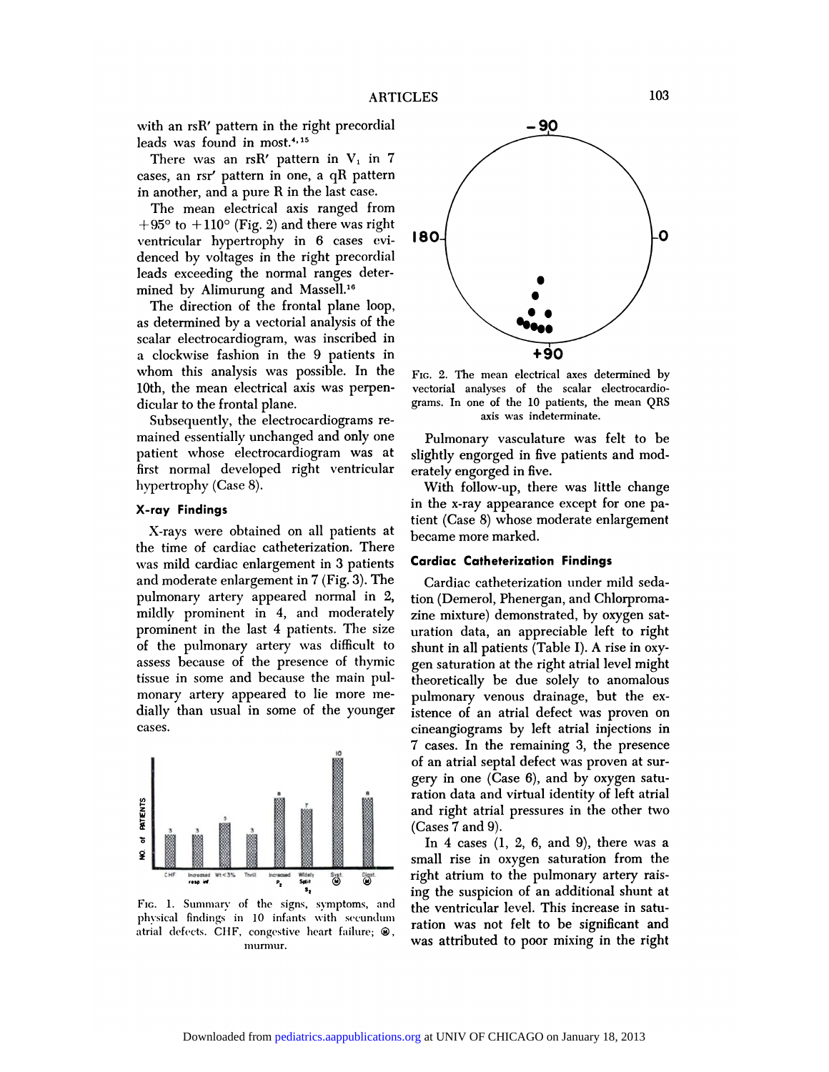with an rsR' pattern in the right precordial<br>leads was found in most.<sup>4,15</sup> ARTICLES<br>with an rsR' pattern in the right precordial<br>leads was found in most.<sup>4,15</sup><br>There was an rsR' pattern in V<sub>1</sub> in 7<br>cases, an rsr' pattern in one, a qR pattern

with an rsR' pattern in the right precordial<br>leads was found in most.<sup>4, 15</sup><br>There was an rsR' pattern in  $V_1$  in 7<br>cases, an rsr' pattern in one, a qR pattern<br>in another, and a pure R in the last case.<br>The mean electric There was an rsR' pattern in  $V_1$  in 7<br>ses, an rsr' pattern in one, a qR pattern<br>another, and a pure R in the last case.<br>The mean electrical axis ranged from<br>95° to +110° (Fig. 2) and there was right

Fincte was an isit pattern in v<sub>1</sub> in cases, an rsr' pattern in one, a qR pattern<br>in another, and a pure R in the last case.<br>The mean electrical axis ranged from<br> $+95^{\circ}$  to  $+110^{\circ}$  (Fig. 2) and there was right<br>ventric in another, and a pure R in the last case.<br>
The mean electrical axis ranged from<br>  $+95^{\circ}$  to  $+110^{\circ}$  (Fig. 2) and there was right<br>
ventricular hypertrophy in 6 cases evi-<br>
denced by voltages in the right precordial<br>  $+95^{\circ}$  to  $+110^{\circ}$  (Fig. 2) and there was rigularized the normal ranges denoted by voltages in the right precordifieds exceeding the normal ranges determined by Alimurung and Massell.<sup>16</sup>  $+35$  ( $0 + 110$  (Fig. 2) and there was Fig.  $+35$  ( $0 + 110$  (Fig. 2) and there was Fig.  $+35$  ( $-10$  )  $-10$  )  $-10$  and  $-10$  and  $-10$  and  $-10$  and  $-10$  and  $-10$  and  $-10$  and  $-10$  and  $-10$  and  $-10$  and  $-10$  and Inficular hypertrophy in 0 cases evi-<br>need by voltages in the right precordial<br>ids exceeding the normal ranges deter-<br>ned by Alimurung and Massell.<sup>16</sup><br>The direction of the frontal plane loop,<br>determined by a vectorial ana

leads exceeding the normal ranges determined by Alimurung and Massell.<sup>16</sup><br>The direction of the frontal plane loop, as determined by a vectorial analysis of the scalar electrocardiogram, was inscribed in mined by Alimurung and Massell.<sup>16</sup><br>The direction of the frontal plane loop,<br>as determined by a vectorial analysis of the<br>scalar electrocardiogram, was inscribed in<br>a clockwise fashion in the 9 patients in The direction of the frontal plane loop,<br>as determined by a vectorial analysis of the<br>scalar electrocardiogram, was inscribed in<br>a clockwise fashion in the 9 patients in<br>whom this analysis was possible. In the<br>10th, the me as determined by a vectorial analysis of<br>scalar electrocardiogram, was inscribed<br>a clockwise fashion in the 9 patients<br>whom this analysis was possible. In<br>10th, the mean electrical axis was perp<br>dicular to the frontal plan scalar electrocarulogram, w<br>a clockwise fashion in the<br>whom this analysis was p<br>10th, the mean electrical ax<br>dicular to the frontal plane.<br>Subsequently, the electroc

patient who the frontal plane.<br>Subsequently, the electrocardiograms re-<br>mained essentially unchanged and only one<br>patient whose electrocardiogram was at<br>first normal developed right ventricular Subsequently, the electrocardiograms re<br>mained essentially unchanged and only one<br>patient whose electrocardiogram was a<br>first normal developed right ventricula<br>hypertrophy (Case 8). mained essentially unch<br>patient whose electrod<br>first normal developed<br>hypertrophy (Case 8). **Patient whose elect<br>first normal develo<br>hypertrophy (Case 8)<br><b>X-ray Findings** 

was mild cardiac enlargement in 3 patients Cardiac Catheterization Findings X-ray Findings<br>X-rays were obtained on all patients at<br>the time of cardiac catheterization. There<br>was mild cardiac enlargement in 3 patients<br>and moderate enlargement in 7 (Fig. 3). The X-rays were obtained on all patients at<br>the time of cardiac catheterization. There<br>was mild cardiac enlargement in 3 patients<br>and moderate enlargement in 7 (Fig. 3). The<br>pulmonary artery appeared normal in 2, A-tays were obtained on an patients at<br>the time of cardiac catheterization. There<br>was mild cardiac enlargement in 3 patients<br>and moderate enlargement in 7 (Fig. 3). The<br>pulmonary artery appeared normal in 2,<br>mildly promine was mild cardiac enlargement in 3 patients<br>and moderate enlargement in 7 (Fig. 3). The<br>pulmonary artery appeared normal in 2,<br>inidly prominent in 4, and moderately<br>prominent in the last 4 patients. The size<br>of the pulmona pulmonary artery appeared normal in 2, tion<br>pulmonary artery appeared normal in 2, tion<br>mildly prominent in 4, and moderately zine<br>prominent in the last 4 patients. The size ura<br>of the pulmonary artery was difficult to shu pullibly prominent in 4, and moderately<br>prominent in the last 4 patients. The size<br>of the pulmonary artery was difficult to<br>assess because of the presence of thymic<br>tissue in some and because the main pulmindly prominent in 4, and moderately<br>prominent in the last 4 patients. The size<br>of the pulmonary artery was difficult to<br>assess because of the presence of thymic<br>tissue in some and because the main pul-<br>monary artery appe of the pulmonary artery was difficult to assess because of the presence of thymic<br>tissue in some and because the main pul-<br>monary artery appeared to lie more me-<br>dially than usual in some of the younger<br>cases.



EXERENT FINDINGS IN INFORMATION FOR SALL FINDING WELF, **SALL FINDING INCORPORT SALL FINDING IN**<br>FIG. 1. Summary of the signs, symptoms, and physical findings in 10 infants with secundum atrial defects. CHF, congestive hear



whom this analysis was possible. In the  $F_{\text{IC. 2}}$ . The mean electrical axes determined by<br>10th, the mean electrical axis was perpen-<br>10th, the mean electrocardio-<br>10th, the mean electrocardio-<br>10th, the mean parms. In FIG. 2. The mean electrical axes determines<br>vectorial analyses of the scalar electroc<br>grams. In one of the 10 patients, the mean FIG. 2. The mean electrical axes determined by<br>vectorial analyses of the scalar electrocardio-<br>grams. In one of the 10 patients, the mean QRS<br>axis was indeterminate. Follow 2. The mean electrical axes determined by<br>torial analyses of the scalar electrocardio-<br>ms. In one of the 10 patients, the mean QRS<br>axis was indeterminate.<br>Pulmonary vasculature was felt to be<br>ghtly engorged in five

grams. In one of the 10 patients, the mean QF<br>
axis was indeterminate.<br>
Pulmonary vasculature was felt to b<br>
slightly engorged in five patients and moderately engorged in five.<br>
With follow-up, there was little chang Pulmonary vasculature was felt to be<br>ghtly engorged in five patients and mod-<br>ately engorged in five.<br>With follow-up, there was little change<br>the x-ray appearance except for one pa-

first normal developed right ventricular erately engorged in five.<br>
Nypertrophy (Case 8). With follow-up, there was little change<br>
X-ray Findings<br>
X-rays were obtained on all patients at the time of cardiac catheterization rumonary vasculature was reit to be<br>slightly engorged in five patients and mod-<br>erately engorged in five.<br>With follow-up, there was little change<br>in the x-ray appearance except for one pa-<br>tient (Case 8) whose moderate enl singhtly engorged in five patients and moderately engorged in five.<br>
With follow-up, there was little chang<br>
in the x-ray appearance except for one pa<br>
tient (Case 8) whose moderate enlargemer<br>
became more marked. erately engorged in nv<br>With follow-up, the<br>in the x-ray appearan<br>tient (Case 8) whose r<br>became more marked. in the x-ray appearance except for one<br>tient (Case 8) whose moderate enlarger<br>became more marked.<br>**Cardiac Catheterization Findings** 

nt (Case 8) whose moderate enlargemer<br>came more marked.<br>Irdiac Catheterization Findings<br>Cardiac catheterization under mild seda<br>m (Demerol, Phenergan, and Chlorproma **Cardiac Catheterization Findings<br>Cardiac catheterization under mild<br>tion (Demerol, Phenergan, and Chlorpromation)**<br>zine mixture) demonstrated, by oxyge Cardiac catheterization under mild sedation (Demerol, Phenergan, and Chlorpromazine mixture) demonstrated, by oxygen saturation data, an appreciable left to right Cardiac catheterization under mild sedation (Demerol, Phenergan, and Chlorpromazine mixture) demonstrated, by oxygen saturation data, an appreciable left to right shunt in all patients (Table I). A rise in oxy-Cardiac catheterization under find sedation (Demerol, Phenergan, and Chlorpromazine mixture) demonstrated, by oxygen saturation data, an appreciable left to right shunt in all patients (Table I). A rise in oxy-<br>gen saturat rion (Demeror, Fhenergan, and Chroppoma-<br>zine mixture) demonstrated, by oxygen saturation data, an appreciable left to right<br>shunt in all patients (Table I). A rise in oxy-<br>gen saturation at the right atrial level might<br>th zme mixture) demonstrated, by oxygen saturation data, an appreciable left to right<br>shunt in all patients (Table I). A rise in oxygen saturation at the right atrial level might<br>theoretically be due solely to anomalous<br>pulmo mation data, an appreciable left to right<br>shunt in all patients (Table I). A rise in oxy-<br>gen saturation at the right atrial level might<br>theoretically be due solely to anomalous<br>pulmonary venous drainage, but the ex-<br>isten shunt in an patients (Table 1). A fise in oxy-<br>gen saturation at the right atrial level might<br>theoretically be due solely to anomalous<br>pulmonary venous drainage, but the ex-<br>istence of an atrial defect was proven on<br>cinean gen saturation at the right atrial level might<br>theoretically be due solely to anomalous<br>pulmonary venous drainage, but the ex-<br>istence of an atrial defect was proven on<br>cineangiograms by left atrial injections in<br>7 cases. mediedrally be due solely to anomalous<br>pulmonary venous drainage, but the ex-<br>istence of an atrial defect was proven on<br>cineangiograms by left atrial injections in<br>7 cases. In the remaining 3, the presence<br>of an atrial sep punnonary venous drainage, but the ex-<br>istence of an atrial defect was proven on<br>cineangiograms by left atrial injections in<br>7 cases. In the remaining 3, the presence<br>of an atrial septal defect was proven at sur-<br>gery in o istence of an attial defect was proven of<br>cineangiograms by left atrial injections is<br>7 cases. In the remaining 3, the presenc<br>of an atrial septal defect was proven at sur<br>gery in one (Case 6), and by oxygen satu<br>ration da ration data and virtual injections in<br>T cases. In the remaining 3, the presence<br>of an atrial septal defect was proven at sur-<br>gery in one (Case 6), and by oxygen satu-<br>ration data and virtual identity of left atrial<br>and ri  $\alpha$  cases. In the remaining 3, the presence<br>of an atrial septal defect was proven at sur-<br>gery in one (Case 6), and by oxygen satu-<br>ration data and virtual identity of left atrial<br>and right atrial pressures in the other or an atrial septar<br>gery in one (Case<br>ration data and vi<br>and right atrial p<br>(Cases 7 and 9).<br>In 4 cases (1, 1 It is more (Case 0), and by oxygen satu-<br>
It is discussed in the other two<br>
discuss (1, 2, 6, and 9), there was a<br>
all rise in oxygen saturation from the

ration data and virtual identity or lert atrial<br>and right atrial pressures in the other two<br>(Cases 7 and 9).<br>In 4 cases (1, 2, 6, and 9), there was a<br>small rise in oxygen saturation from the<br>right atrium to the pulmonary a and right atrial pressures in the other two<br>(Cases 7 and 9).<br>In 4 cases (1, 2, 6, and 9), there was a<br>small rise in oxygen saturation from the<br>right atrium to the pulmonary artery rais-<br>ing the suspicion of an additional s (Cases  $i$  and  $9$ ).<br>In  $4$  cases  $(1, 2, 6,$  and  $9)$ , there was a small rise in oxygen saturation from the right atrium to the pulmonary artery raising the suspicion of an additional shunt at the ventricular level. This In 4 cases  $(1, 2, 0, 2)$  and  $9$ ), there was a<br>small rise in oxygen saturation from the<br>right atrium to the pulmonary artery rais<br>ing the suspicion of an additional shunt a<br>the ventricular level. This increase in saturat sman Tise in oxygen saturation from the<br>right atrium to the pulmonary artery rais-<br>ing the suspicion of an additional shunt at<br>the ventricular level. This increase in satu-<br>ration was not felt to be significant and<br>was att right atrium to the punnonary artery rais-<br>ing the suspicion of an additional shunt at<br>the ventricular level. This increase in satu-<br>ration was not felt to be significant and<br>was attributed to poor mixing in the right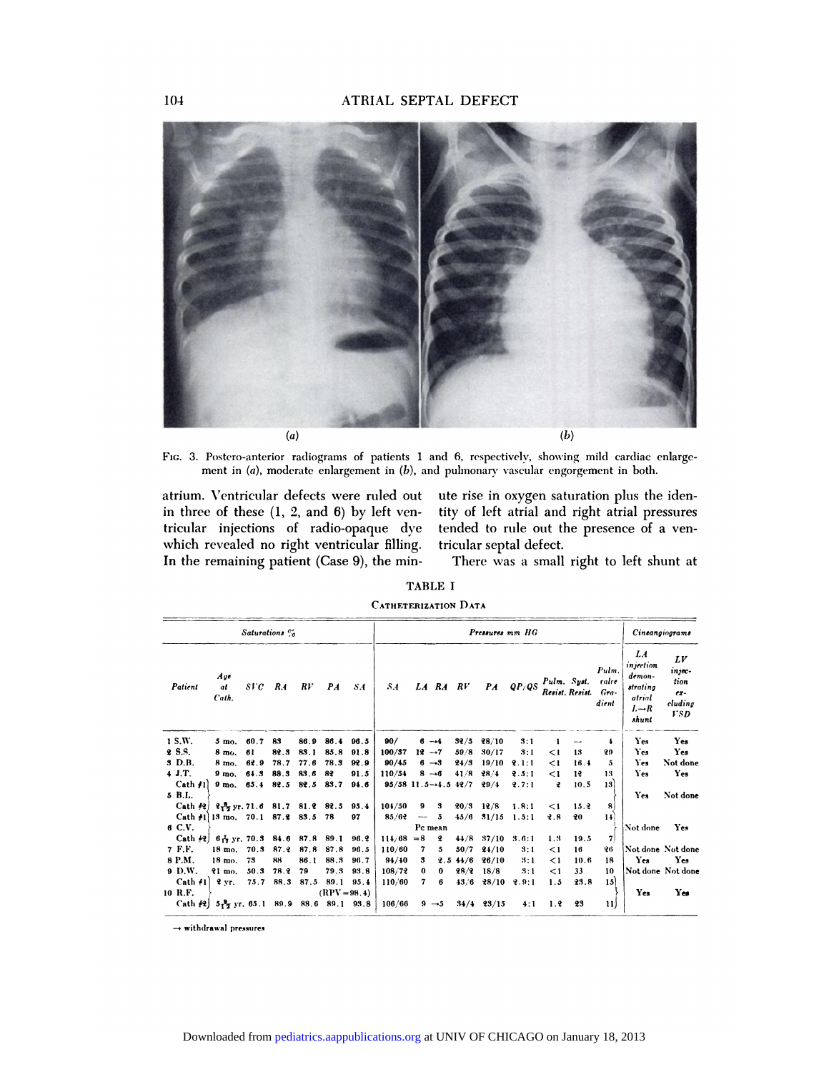

(a)<br>Fig. 3. Postero-anterior radiograms of patients 1 and 6, respectively, showing mild cardiac enlarge-<br>ment in *(a), moderate enlargement in (b),* and pulmonary vascular engorgement in both.<br>atrium. Ventricular defects w

tricular injections of radio-opaque dye tended to rule out the presence of a ven-<br>which revealed no right ventricular filling. tricular septal defect.<br>In the remaining patient (Case 9), the min-<br>There was a small right to in three of these  $(1, 2, \text{ and } 6)$  by left ven-Fig. 3. Postero-anterior radiograms of patients  $\pm$  ment in (a), moderate enlargement in (b), atrium. Ventricular defects were ruled out in three of these (1, 2, and 6) by left ventricular injections of radio-opaque dye ment in  $(a)$ , moderate enlargement in  $(b)$ , and  $\Gamma$ <br>atrium. Ventricular defects were ruled out<br>in three of these  $(1, 2,$  and  $6)$  by left ven-<br>titicular injections of radio-opaque dye te<br>which revealed no right ventricu atrium. Ventricular defects were ruled out<br>in three of these (1, 2, and 6) by left ven-<br>tricular injections of radio-opaque dye<br>which revealed no right ventricular filling.<br>In the remaining patient (Case 9), the min-In three of these (1, 2, and 6) by left ven<br>tricular injections of radio-opaque dy<br>which revealed no right ventricular filling<br>In the remaining patient (Case 9), the min

b)<br>
ud 6, respectively, showing mild cardiac enlarge<br>
ulmonary vascular engorgement in both.<br>
ute rise in oxygen saturation plus the ider<br>
tity of left atrial and right atrial pressure the 6, respectively, showing mild cardiac enlarge-<br>
pulmonary vascular engorgement in both.<br>
ute rise in oxygen saturation plus the iden-<br>
tity of left atrial and right atrial pressures<br>
tended to rule out the presence of ute rise in oxygen sa<br>tity of left atrial and<br>tended to rule out t<br>tricular septal defect.<br>There was a small

There was a small right to left shunt at

|  | <b>TABLE I</b> |  |  |  |
|--|----------------|--|--|--|
|--|----------------|--|--|--|

| ), the min-                 | rnere was |  |
|-----------------------------|-----------|--|
| <b>TABLE I</b>              |           |  |
| <b>CATHETERIZATION DATA</b> |           |  |
|                             |           |  |

| Saturations % |                                                                 |      |            |                     |                |      | Cineangiograms                      |                   |          |             |                        |       |              |                 |                                |                                                                               |                                                   |
|---------------|-----------------------------------------------------------------|------|------------|---------------------|----------------|------|-------------------------------------|-------------------|----------|-------------|------------------------|-------|--------------|-----------------|--------------------------------|-------------------------------------------------------------------------------|---------------------------------------------------|
| Patient       | Age<br>аt<br>Cath.                                              | sr c | <b>R.4</b> | RV                  | P <sub>A</sub> | S.4  | <b>S.4</b>                          |                   |          | LA RA RV    | $\mathbf{P}\mathbf{A}$ | QP/QS | Pulm. Syst.  | Resist. Resist. | Pulm<br>ralre<br>Gra-<br>dient | LA<br>injection<br>demon-<br>strating<br>atrial<br>$L \rightarrow R$<br>shunt | LV<br>injec-<br>tion<br>$ex-$<br>cluding<br>V S D |
| 1 S.W.        | $5 \text{ mo}$ .                                                | 60.7 | 83         | 86.9                | 86.4           | 96.5 | 90/                                 | $6 -4$            |          | 32/5        | 28/10                  | 3:1   |              |                 | 4                              | Yes                                                                           | Yes                                               |
| 2 S.S.        | 8 mo.                                                           | 61   | 82.3       | 83.1                | 85.8           | 91.8 | 100/37                              | $12 - 7$          |          | 59/8        | 30/17                  | 3:1   | $\leq$ 1     | 13              | 29                             | Yes                                                                           | Yes                                               |
| 3 D.B.        | 8 mo.                                                           | 62.9 | 78.7       | 77.6                | 78.3           | 92.9 | 90/45                               | $6 - 3$           |          | 24/3        | 19/10                  | 2.1:1 | $\leq$ 1     | 16.4            | 5                              | Yes                                                                           | Not done                                          |
| 4J.T.         | 9 <sub>mo</sub>                                                 | 64.3 | 88.3       | 83.6                | 82             | 91.5 | 110/54                              | $8 - 6$           |          | 41/8        | 28/4                   | 2.5:1 | $\leq$ 1     | 12              | 13                             | Yes                                                                           | Yes                                               |
| $Cath$ $11$   | $9 \text{ mo}$ .                                                |      |            | 65.4 82.5 82.5 83.7 |                | 94.6 | $95/58$ 11.5 $\rightarrow$ 4.5 42/7 |                   |          |             | 29/4                   | 9.7:1 | $\mathbf{r}$ | 10.5            | 13                             |                                                                               |                                                   |
| 5 B.L.        |                                                                 |      |            |                     |                |      |                                     |                   |          |             |                        |       |              |                 |                                | Yes                                                                           | Not done                                          |
| $Cath$ $42$   | $2\frac{8}{27}$ yr. 71.6 81.7 81.2 82.5 95.4                    |      |            |                     |                |      | 104/50                              | 9                 | 3        | $20/3$ 12/8 |                        | 1.8:1 | $\leq$ 1     | 15.2            | 8                              |                                                                               |                                                   |
| $Cath$ #1     | $13 \text{ mo.} 70.1 87.2 83.5$                                 |      |            |                     | 78             | 97   | 85/62                               | $\sim$            | 5        | 45/6        | 31/15                  | 1.5:1 | 2.8          | 20              | 14                             |                                                                               |                                                   |
| 6 C.V.        |                                                                 |      |            |                     |                |      |                                     | Pc mean           |          |             |                        |       |              |                 |                                | Not done                                                                      | Yes                                               |
| Cath(42)      | $6\frac{1}{12}$ yr. 70.3 84.6 87.8 89.1                         |      |            |                     |                | 96.2 | 114/68                              | $= 8$             | 2        | 44/8        | 37/10                  | 3.6:1 | 1.3          | 19.5            | 7                              |                                                                               |                                                   |
| 7 F.F.        | 18 mo.                                                          | 70.3 | 87.2       | 87.8                | 87.8           | 96.5 | 110/60                              | 7                 | 5        | 50/7        | 24/10                  | 3:1   | $\leq$ 1     | 16              | 26                             | Not done Not done                                                             |                                                   |
| 8 P.M.        | 18 mo.                                                          | 73   | 88         | 86.1                | 88.3           | 96.7 | 94/40                               | 3                 |          | $2.5\,44/6$ | 26/10                  | 3:1   | $\leq$ 1     | 10.6            | 18                             | Yes                                                                           | Yes                                               |
| 9 D.W.        | $21$ mo.                                                        | 50.3 | 78.2       | 79                  | 79.3           | 93.8 | 108/72                              | 0                 | $\bf{0}$ | 28/2        | 18/8                   | 3:1   | $\leq$ 1     | 33              | 10                             | Not done Not done                                                             |                                                   |
| Cath 41       | 2 <sub>yr</sub>                                                 | 75.7 | 88.3       | 87.5                | 89.1           | 95.4 | 110/60                              | 7                 | 6        | 43/6        | 28/10                  | 9.9:1 | 1.5          | 23.8            | 15                             |                                                                               |                                                   |
| 10 R.F.       |                                                                 |      |            |                     | $(RPV = 98.4)$ |      |                                     |                   |          |             |                        |       |              |                 |                                | Yes                                                                           | Yes                                               |
|               | Cath $\frac{1}{2}$ 5 $\frac{3}{2}$ yr. 65.1 89.9 88.6 89.1 93.8 |      |            |                     |                |      | 106/66                              | $9 \rightarrow 5$ |          |             | $34/4$ $23/15$         | 4:1   | 1.2          | 23              | 11)                            |                                                                               |                                                   |

 $\rightarrow$  withdrawal pressures

104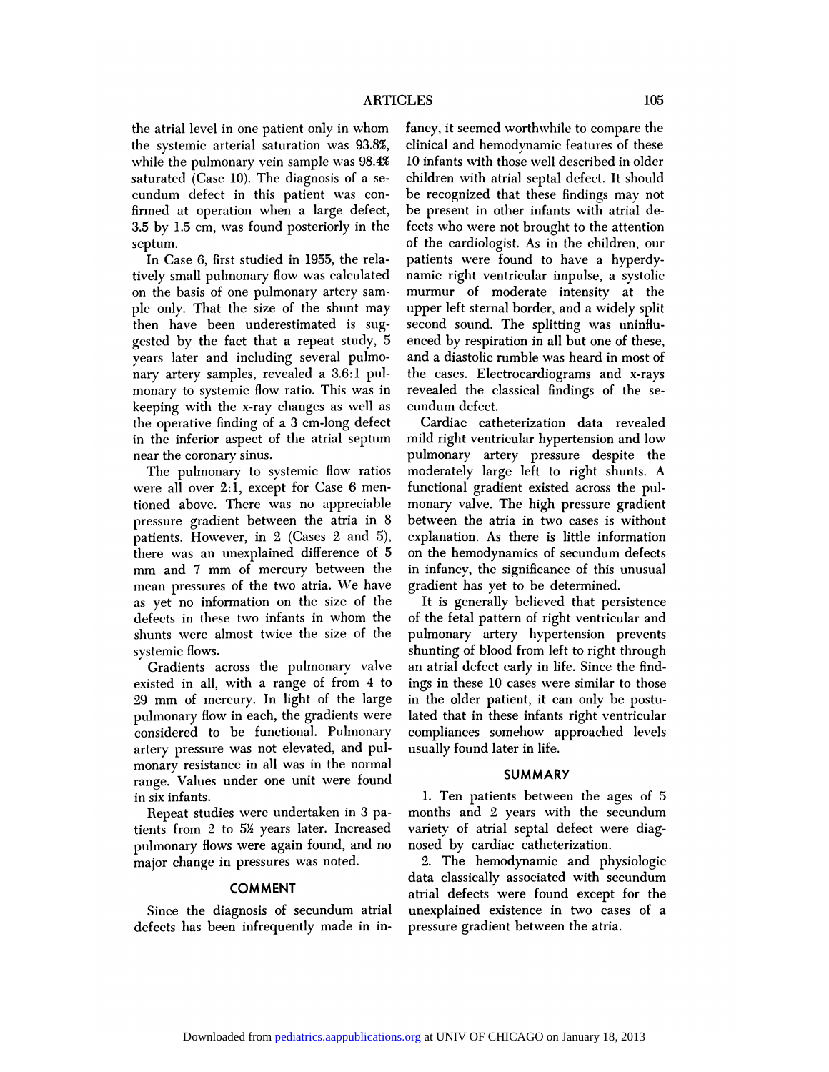the atrial level in one patient only in whom fancy, it seemed worthwhile to compare the the systemic arterial saturation was 93.8%, clinical and hemodynamic features of these ARTICLES<br>the atrial level in one patient only in whom fancy, if<br>the systemic arterial saturation was  $93.8\%$ , clinical<br>while the pulmonary vein sample was  $98.4\%$  10 infan<br>saturated (Case 10). The diagnosis of a se-child the atrial level in one patient only in whom<br>the systemic arterial saturation was 93.8%,<br>while the pulmonary vein sample was 98.4%<br>saturated (Case 10). The diagnosis of a se-<br>cundum defect in this patient was conthe systemic arterial saturation was 93.8%<br>while the pulmonary vein sample was 98.4%<br>saturated (Case 10). The diagnosis of a se<br>cundum defect in this patient was con-<br>firmed at operation when a large defect while the pulmonary vein sample was 98.4%<br>saturated (Case 10). The diagnosis of a se-<br>cundum defect in this patient was con-<br>firmed at operation when a large defect,<br>3.5 by 1.5 cm, was found posteriorly in the while the pulmonary vein sample was 98.4% 10 infants with those well described in older<br>saturated (Case 10). The diagnosis of a se-<br>children with atrial septal defect. It should<br>cundum defect in this patient was con-<br>firme septum. In Case 6, first studied in 1955, the rela-<br>In Case 6, first studied in 1955, the rela-<br>In Case 6, first studied in 1955, the rela-<br>In Case 6, first studied in 1955, the rela-<br>In Sase 1, first studied in 1955, the rela-

1.5 by 1.5 cm, was found posteriorly in the<br>septum.<br>In Case 6, first studied in 1955, the rela-<br>tively small pulmonary flow was calculated<br>on the basis of one pulmonary artery samon the basis of one pulmonary fields.<br>In Case 6, first studied in 1955, the rela<br>tively small pulmonary flow was calculated<br>on the basis of one pulmonary artery sam-<br>ple only. That the size of the shunt may In Case 6, first studied in 1955, the rela-<br>tively small pulmonary flow was calculated na<br>on the basis of one pulmonary artery sam-<br>ple only. That the size of the shunt may up<br>then have been underestimated is sugtively small pulmonary flow was calculated<br>on the basis of one pulmonary artery sam-<br>ple only. That the size of the shunt may<br>then have been underestimated is sug-<br>gested by the fact that a repeat study, 5 ple only. That the size of the shunt may upper left sternal border, and a widely split then have been underestimated is sug-<br>second sound. The splitting was uninflugested by the fact that a repeat study, 5 enced by respira on the basis of one punnonary artery sample only. That the size of the shunt m<br>then have been underestimated is supposed by the fact that a repeat study<br>years later and including several puln<br>nary artery samples, revealed then have been underestimated is sug-<br>gested by the fact that a repeat study, 5 enc<br>years later and including several pulmo-<br>nary artery samples, revealed a 3.6:1 pul-<br>the<br>monary to systemic flow ratio. This was in reveali years later and including several pulmo-<br>nary artery samples, revealed a 3.6:1 pul-<br>monary to systemic flow ratio. This was in<br>keeping with the x-ray changes as well as<br>the operative finding of a 3 cm-long defect The mary artery samples, revealed a  $3.6:1$  pulmonary to systemic flow ratio. This was in keeping with the x-ray changes as well as the operative finding of a  $3 \text{ cm-long defect}$  in the inferior aspect of the atrial septum many artery samples, revealed a 3.0:1 pui-<br>monary to systemic flow ratio. This was in revea<br>keeping with the x-ray changes as well as cund<br>the operative finding of a 3 cm-long defect Ca<br>in the inferior aspect of the atrial monary to systemic now<br>keeping with the x-ray of<br>the operative finding of :<br>in the inferior aspect of<br>near the coronary sinus.<br>The pulmonary to sy eping with the x-ray changes as well as<br>e operative finding of a 3 cm-long defect<br>the inferior aspect of the atrial septum<br>ar the coronary sinus.<br>The pulmonary to systemic flow ratios<br>are all over 2:1, except for Case 6 me

in the inferior aspect of the atrial septum<br>near the coronary sinus.<br>The pulmonary to systemic flow ratios<br>were all over 2:1, except for Case 6 men-<br>tioned above. There was no appreciable the method aspect of the atthat septem<br>near the coronary sinus.<br>The pulmonary to systemic flow ratios<br>were all over 2:1, except for Case 6 men-<br>tioned above. There was no appreciable<br>pressure gradient between the atria in The pulmonary to systemic flow ratios mowere all over 2:1, except for Case 6 mentioned above. There was no appreciable mo<br>pressure gradient between the atria in 8 bet patients. However, in 2 (Cases 2 and 5), exp were all over 2:1, except for Case 6 mentioned above. There was no appreciable<br>pressure gradient between the atria in 8<br>patients. However, in 2 (Cases 2 and 5),<br>there was an unexplained difference of 5 tioned above. There was no appreciable more<br>pressure gradient between the atria in 8 bety<br>patients. However, in 2 (Cases 2 and 5), expl<br>there was an unexplained difference of 5 on t<br>mm and 7 mm of mercury between the in is pressure gradient between the atria in 5<br>patients. However, in 2 (Cases 2 and 5),<br>there was an unexplained difference of 5<br>mm and 7 mm of mercury between the<br>imean pressures of the two atria. We have<br>as yet no information patients. However, in 2 (Cases 2 and 0), ex<br>there was an unexplained difference of 5 on<br>mm and 7 mm of mercury between the in<br>mean pressures of the two atria. We have gr<br>as yet no information on the size of the<br>defects in mm and 7 mm of mercury between the<br>mean pressures of the two atria. We have g<br>as yet no information on the size of the<br>defects in these two infants in whom the o<br>shunts were almost twice the size of the p mean pressures of the two atria. We have<br>as yet no information on the size of the<br>defects in these two infants in whom the<br>shunts were almost twice the size of the<br>systemic flows. as yet no info:<br>defects in these<br>shunts were al<br>systemic flows.<br>Gradients ac yet no information on the size of the<br>fects in these two infants in whom the<br>unts were almost twice the size of the<br>stemic flows.<br>Gradients across the pulmonary valve a<br>isted in all, with a range of from 4 to in

shunts were almost twice the size of the pul<br>systemic flows. Shunder all, with a range of from 4 to ing<br>existed in all, with a range of from 4 to ing<br>29 mm of mercury. In light of the large in systemic flows.<br>
Systemic flows.<br>
Cradients across the pulmonary valve<br>
existed in all, with a range of from 4 to<br>
29 mm of mercury. In light of the large ir<br>
pulmonary flow in each, the gradients were la For Gradients across the pulmonary valve<br>
existed in all, with a range of from 4 to<br>
29 mm of mercury. In light of the large<br>
pulmonary flow in each, the gradients were<br>
considered to be functional. Pulmonary<br>
artery pres existed in an, which a range of Hom 4 to<br>29 mm of mercury. In light of the large<br>pulmonary flow in each, the gradients were<br>considered to be functional. Pulmonary<br>artery pressure was not elevated, and pul-<br>monary resistanc 29 min of mercury. In fight of the large<br>pulmonary flow in each, the gradients were<br>considered to be functional. Pulmonary<br>artery pressure was not elevated, and pul-<br>monary resistance in all was in the normal<br>range. Values range. The functional. Pulmonary<br>
artery pressure was not elevated, and pul-<br>
monary resistance in all was in the normal<br>
range. Values under one unit were found<br>
in six infants.<br>
Repeat studies were undertaken in 3 parepressure was not elevated, and pul-<br>binary resistance in all was in the normal<br>nge. Values under one unit were found<br>six infants.<br>Repeat studies were undertaken in 3 pa-<br>nts from 2 to 5½ years later. Increased range. Values under one unit were found<br>in six infants.<br>Repeat studies were undertaken in 3 patients from 2 to  $5\frac{\nu}{2}$  years later. Increased

range. Values under one unit were found<br>in six infants.<br>Repeat studies were undertaken in 3 pa-<br>tients from 2 to 5½ years later. Increased var<br>pulmonary flows were again found, and no nos<br>major change in pressures was note m six miants.<br>
Repeat studies were undertaken in 3<br>
tients from 2 to 5<sup>1</sup>/<sub>2</sub> years later. Incre<br>
pulmonary flows were again found, an<br>
major change in pressures was noted.

# COMMENT

Imonary hows were again round, and ho<br>ijor change in pressures was noted.<br>COMMENT<br>Since the diagnosis of secundum atrial<br>fects has been infrequently made in inmajor change in pressures was noted.<br> **COMMENT**<br>
Since the diagnosis of secundum atrial<br>
defects has been infrequently made in in-

LES<br>fancy, it seemed worthwhile to compare the<br>clinical and hemodynamic features of these LES<br>
fancy, it seemed worthwhile to compare the<br>
clinical and hemodynamic features of these<br>
10 infants with those well described in older<br>
children with atrial septal defect. It should fancy, it seemed worthwhile to compare the<br>clinical and hemodynamic features of these<br>10 infants with those well described in older<br>children with atrial septal defect. It should<br>be recognized that these findings may not rancy, it seemed worthwine to compare the<br>clinical and hemodynamic features of these<br>10 infants with those well described in older<br>children with atrial septal defect. It should<br>be recognized that these findings may not<br>be eninear and nemodynamic reatures or these<br>10 infants with those well described in older<br>children with atrial septal defect. It should<br>be recognized that these findings may not<br>be present in other infants with atrial de-<br>fe fo mants with those wen described in older<br>children with atrial septal defect. It should<br>be recognized that these findings may not<br>be present in other infants with atrial de-<br>fects who were not brought to the attention<br>of be recognized that these findings may not be present in other infants with atrial<br>fects who were not brought to the atten<br>of the cardiologist. As in the children,<br>patients were found to have a hype<br>namic right ventricular impulse, a sys fects who were not brought to the attention<br>of the cardiologist. As in the children, our<br>patients were found to have a hyperdy-<br>namic right ventricular impulse, a systolic<br>murmur of moderate intensity at the of the cardiologist. As in the children, our<br>patients were found to have a hyperdy-<br>namic right ventricular impulse, a systolic<br>murmur of moderate intensity at the<br>upper left sternal border, and a widely split<br>second sound namic right ventricular impulse, a systolic murmur of moderate intensity at the upper left sternal border, and a widely split<br>second sound. The splitting was uninflu-<br>enced by respiration in all but one of these,<br>and a diastolic rumble was heard in most of<br>the cases. Electrocardiograms and x-rays upper left sternar border, and a widery spire<br>second sound. The splitting was uninflu-<br>enced by respiration in all but one of these,<br>and a diastolic rumble was heard in most of<br>the cases. Electrocardiograms and x-rays<br>reve recond sound. The spitting was unimu-<br>enced by respiration in all but one of these,<br>and a diastolic rumble was heard in most of<br>the cases. Electrocardiograms and x-rays<br>revealed the classical findings of the se-<br>cundum def and a diastolic 1<br>the cases. Elec<br>revealed the c<br>cundum defect.<br>Cardiac catl Cardiac cumbie was neard in most or<br>e cases. Electrocardiograms and x-rays<br>vealed the classical findings of the se-<br>ndum defect.<br>Cardiac catheterization data revealed<br>ld right ventricular hypertension and low

me cases. Electrocardiograms and x-rays<br>revealed the classical findings of the se-<br>cundum defect.<br>Cardiac catheterization data revealed<br>mild right ventricular hypertension and low<br>pulmonary artery pressure despite the revealed the classical midings of the se-<br>cundum defect.<br>Cardiac catheterization data revealed<br>mild right ventricular hypertension and low<br>pulmonary artery pressure despite the<br>moderately large left to right shunts. A Cardiac catheterization data revealed<br>mild right ventricular hypertension and low<br>pulmonary artery pressure despite the<br>moderately large left to right shunts. A<br>functional gradient existed across the pul-Cardiac catheterization data revealed<br>mild right ventricular hypertension and low<br>pulmonary artery pressure despite the<br>moderately large left to right shunts. A<br>functional gradient existed across the pul-<br>monary valve. The mind right ventricular hypertension and low<br>pulmonary artery pressure despite the<br>moderately large left to right shunts. A<br>functional gradient existed across the pul-<br>monary valve. The high pressure gradient<br>between the at punnonary artery pressure despite the<br>moderately large left to right shunts. A<br>functional gradient existed across the pul-<br>monary valve. The high pressure gradient<br>between the atria in two cases is without<br>explanation. As moderately large left to right shunts. A<br>functional gradient existed across the pul-<br>monary valve. The high pressure gradient<br>between the atria in two cases is without<br>explanation. As there is little information<br>on the hem runctional gradient existed across the pur-<br>monary valve. The high pressure gradient<br>between the atria in two cases is without<br>explanation. As there is little information<br>on the hemodynamics of secundum defects<br>in infancy, inonary varve. The mgn pressure gradient<br>between the atria in two cases is without<br>explanation. As there is little information<br>on the hemodynamics of secundum defects<br>in infancy, the significance of this unusual<br>gradient h between the atria in two cases is<br>explanation. As there is little inf<br>on the hemodynamics of secundur<br>in infancy, the significance of this<br>gradient has yet to be determine<br>It is generally believed that po planation. As there is little information<br>the hemodynamics of secundum defects<br>infancy, the significance of this unusual<br>adient has yet to be determined.<br>It is generally believed that persistence<br>the fetal pattern of right

of the fetal pattern of reculidant defects<br>in infancy, the significance of this unusual<br>gradient has yet to be determined.<br>It is generally believed that persistence<br>of the fetal pattern of right ventricular and<br>pulmonary a in infancy, the significance or this unusual<br>gradient has yet to be determined.<br>It is generally believed that persistence<br>of the fetal pattern of right ventricular and<br>pulmonary artery hypertension prevents<br>shunting of blo gradient has yet to be determined.<br>It is generally believed that persistence<br>of the fetal pattern of right ventricular and<br>pulmonary artery hypertension prevents<br>shunting of blood from left to right through<br>an atrial defec It is generally beneved that persistence<br>of the fetal pattern of right ventricular and<br>pulmonary artery hypertension prevents<br>shunting of blood from left to right through<br>an atrial defect early in life. Since the find<br>ings or the retal pattern or right ventricular and<br>pulmonary artery hypertension prevents<br>shunting of blood from left to right through<br>an atrial defect early in life. Since the find-<br>ings in these 10 cases were similar to those pumonary artery nypertension prever<br>shunting of blood from left to right throu<br>an atrial defect early in life. Since the fin<br>ings in these 10 cases were similar to the<br>in the older patient, it can only be post<br>lated that i shunting of blood from left to right through<br>an atrial defect early in life. Since the find-<br>ings in these 10 cases were similar to those<br>in the older patient, it can only be postu-<br>lated that in these infants right ventri ings in these 10 cases were similar to those<br>in the older patient, it can only be postu-<br>lated that in these infants right ventricular<br>compliances somehow approached levels<br>usually found later in life. in the older patient, it can<br>lated that in these infants<br>compliances somehow ap<br>usually found later in life.

# SUMMARY

1. Ten patients between the ages of 5<br>1. Ten patients between the ages of 5<br>1. Ten patients between the ages of 5<br>1. Ten patients between the ages of 5 SUMMARY<br>1. Ten patients between the ages of 5<br>months and 2 years with the secundum<br>variety of atrial septal defect were diag-SUMMARY<br>
1. Ten patients between the ages of<br>
months and 2 years with the secundure<br>
variety of atrial septal defect were diag-<br>
nosed by cardiac catheterization.<br>
2. The hemodynamic and physiolog 1. Ten patients between the ages or 5<br>2. The hemodynamic and physiologic<br>2. The hemodynamic and physiologic<br>2. The hemodynamic and physiologic<br>2. The hemodynamic and physiologic<br>ta classically associated with secundum

months and 2 years with the secundum<br>variety of atrial septal defect were diag-<br>nosed by cardiac catheterization.<br>2. The hemodynamic and physiologic<br>data classically associated with secundum<br>atrial defects were found excep variety of attrial septar defect were diag-<br>mosed by cardiac catheterization.<br>2. The hemodynamic and physiologic<br>data classically associated with secundum<br>atrial defects were found except for the<br>unexplained existence in t nosed by catuac catheterization.<br>
2. The hemodynamic and physiologic<br>
data classically associated with secundum<br>
atrial defects were found except for the<br>
unexplained existence in two cases of a<br>
pressure gradient between 2. The hemodynamic and physidata classically associated with securitial defects were found except for unexplained existence in two cases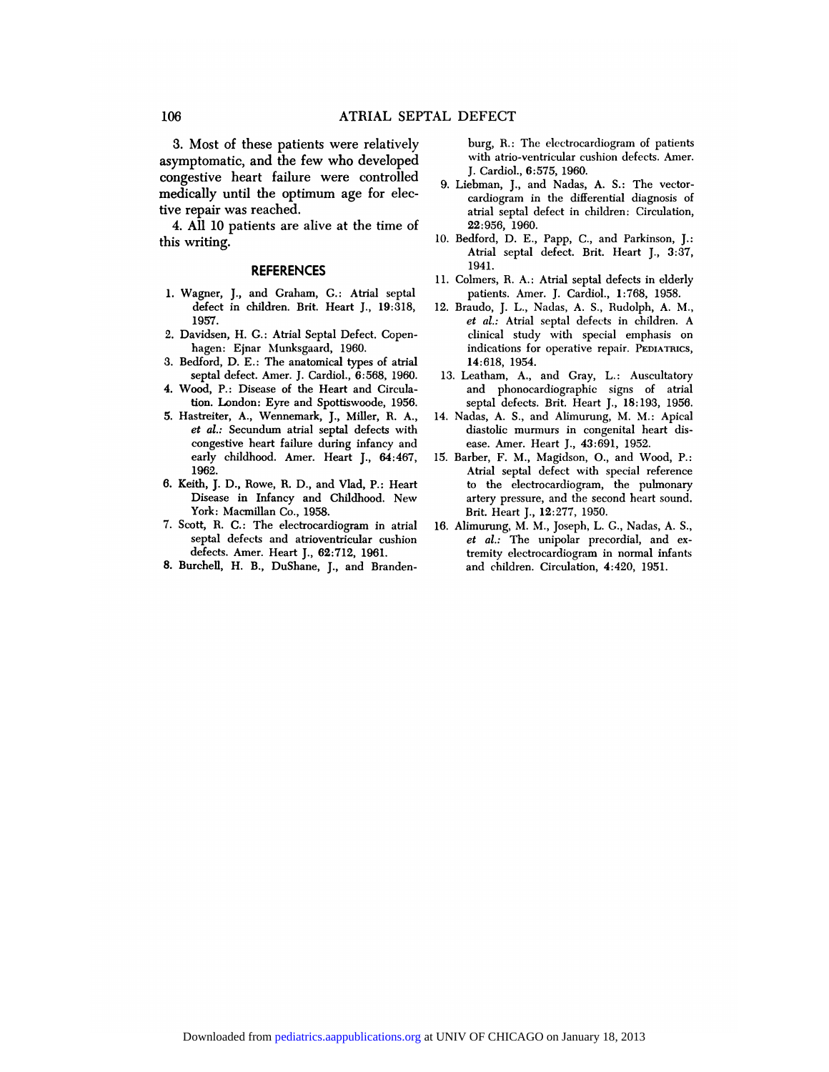106 **ATRIAL SEPTAL DEFECT**<br>3. Most of these patients were relatively burg, R.:<br>asymptomatic, and the few who developed with atrio 106 ATRIAL SEPT<br>3. Most of these patients were relatively<br>asymptomatic, and the few who developed<br>congestive heart failure were controlled 106 ATRIAL SEPT.<br>3. Most of these patients were relatively<br>asymptomatic, and the few who developed<br>congestive heart failure were controlled<br>medically until the optimum age for elec-3. Most of these patients were relatively<br>asymptomatic, and the few who developed<br>congestive heart failure were controlled<br>medically until the optimum age for elective repair was reached. asymptomatic, and the<br>congestive heart failu<br>medically until the op<br>tive repair was reached<br>4. All 10 patients are Multimum and the tew wind developed<br>
redically until the optimum age for elec-<br>
ve repair was reached.<br>
4. All 10 patients are alive at the time of<br>
is writing. congestive<br>medically universe repair was<br>4. All 10 j<br>this writing.

## **REFERENCES**

- his writing.<br>**REFERENCES**<br>1. Wagner, J., and Graham, G.: Atrial septal<br>defect in children. Brit. Heart J., 19:318, REFERENCES<br>agner, J., and Graham, G.: Atrial septal<br>defect in children. Brit. Heart J., 19:318,<br>1957. 1957. 1. Wagner, J., and Graham, G.: Atrial septed the defect in children. Brit. Heart J., 19:3<br>1957.<br>2. Davidsen, H. G.: Atrial Septal Defect. Cophagen: Ejnar Munksgaard, 1960. defect in children. Brit. Heart J., 19:318,<br>1957.<br>avidsen, H. G.: Atrial Septal Defect. Copen-<br>hagen: Ejnar Munksgaard, 1960.<br>edford, D. E.: The anatomical types of atrial<br>septal defect. Amer. J. Cardiol., 6:568, 1960.
- 1957.<br>
2. Davidsen, H. G.: Atrial Septal Defect. Copenhagen: Ejnar Munksgaard, 1960.<br>
3. Bedford, D. E.: The anatomical types of atrial<br>
septal defect. Amer. J. Cardiol., 6:568, 1960.<br>
4. Wood, P.: Disease of the Heart and
- 1. Bedford, D. E.: The anatomical types of atrial<br>septal defect. Amer. J. Cardiol., 6:568, 1960.<br>4. Wood, P.: Disease of the Heart and Circula-<br>tion. London: Eyre and Spottiswoode, 1956. hagen: Ejnar Munksgaard, 1960.<br>Edford, D. E.: The anatomical types of atrial<br>septal defect. Amer. J. Cardiol., 6:568, 1960.<br>ood, P.: Disease of the Heart and Circula-<br>tion. London: Eyre and Spottiswoode, 1956.<br>sstreiter, A
- 
- 3. Bedford, D. E.: The anatomical types of atrial<br>septal defect. Amer. J. Cardiol.,  $6:568$ , 1960.<br>4. Wood, P.: Disease of the Heart and Circula-<br>tion. London: Eyre and Spottiswoode, 1956.<br>5. Hastreiter, A., Wennemark, J. ood, P.: Disease of the Heart and Circulation. London: Eyre and Spottiswoode, 1956.<br>streiter, A., Wennemark, J., Miller, R. A., 14.<br>et al.: Secundum atrial septal defects with<br>congestive heart failure during infancy and<br>ea early childhood. Amer. Heart and Special<br>tion. London: Eyre and Spottiswoode, 1956.<br>streiter, A., Wennemark, J., Miller, R. A.,<br>et al.: Secundum atrial septal defects with<br>congestive heart failure during infancy and<br>early 1962. *et al.*: Secundum atrial septal defects with<br>congestive heart failure during infancy and<br>early childhood. Amer. Heart J., 64:467,<br>1962.<br>6. Keith, J. D., Rowe, R. D., and Vlad, P.: Heart<br>Disease in Infancy and Childhood. N
- congestive heart failure during infancy and<br>early childhood. Amer. Heart J., 64:467, 15. B<br>1962.<br>ith, J. D., Rowe, R. D., and Vlad, P.: Heart<br>Disease in Infancy and Childhood. New<br>York: Macmillan Co., 1958. early childhood. Amer. He.<br>1962.<br>ith, J. D., Rowe, R. D., and<br>Disease in Infancy and C.<br>York: Macmillan Co., 1958.<br>ott, R. C.: The electrocardio 1962.<br>
6. Keith, J. D., Rowe, R. D., and Vlad, P.: Heart<br>
Disease in Infancy and Childhood. New<br>
York: Macmillan Co., 1958.<br>
7. Scott, R. C.: The electrocardiogram in atrial<br>
septal defects and atrioventricular cushion
- Disease in Infancy and Childhood. New York: Macmillan Co., 1958.<br>7. Scott, R. C.: The electrocardiogram in atrial septal defects and atrioventricular cushion defects. Amer. Heart J., 62:712, 1961.
- 8. Burchell, H. B., DuShane, J., and Branden-

EFECT<br>burg, R.: The electrocardiogram of patients<br>with atrio-ventricular cushion defects. Amer. EFECT<br>burg, R.: The electrocardiogram of patients<br>with atrio-ventricular cushion defects. Amer.<br>J. Cardiol., 6:575, 1960. LETTER<br>
burg, R.: The electrocare<br>
with atrio-ventricular cus<br>
J. Cardiol., 6:575, 1960.<br>
ebman, J., and Nadas, 4 9. Liebman, J., and Nadas, A. S. : The vector-

- with atrio-ventricular cushion defects. Amer.<br>J. Cardiol., 6:575, 1960.<br>ebman, J., and Nadas, A. S.: The vector-<br>cardiogram in the differential diagnosis of<br>atrial septal defect in children: Circulation, with atrio-ventricular cushion defects. Amer<br>J. Cardiol., 6:575, 1960.<br>ebman, J., and Nadas, A. S.: The vector<br>cardiogram in the differential diagnosis of<br>atrial septal defect in children: Circulation<br>22:956, 1960. J. Cardiol., 6:57<br>ebman, J., and<br>cardiogram in<br>atrial septal de!<br>22:956, 1960.<br>dford, D. E., I 9. Liebman, J., and Nadas, A. S.: The vector-<br>cardiogram in the differential diagnosis of<br>atrial septal defect in children: Circulation,<br>22:956, 1960.<br>10. Bedford, D. E., Papp, C., and Parkinson, J.:<br>Atrial septal defect.
- atrial septal defect in children: Circulation,<br>22:956, 1960.<br>dford, D. E., Papp, C., and Parkinson, J.:<br>Atrial septal defect. Brit. Heart J., 3:37,<br>1941. 1941. 22:956, 1960.<br>
10. Bedford, D. E., Papp, C., and Parkinson, J.:<br>
Atrial septal defect. Brit. Heart J., 3:37,<br>
1941.<br>
11. Colmers, R. A.: Atrial septal defects in elderly<br>
patients. Amer. J. Cardiol., 1:768, 1958. dford, D. E., Papp, C., and Parkinson, J.<br>Atrial septal defect. Brit. Heart J., 3:37<br>1941.<br>Jumers, R. A.: Atrial septal defects in elderly<br>patients. Amer. J. Cardiol., 1:768, 1958.<br>audo, J. L., Nadas, A. S., Rudolph, A. M.
- 
- Atrial septal defect. Brit. Heart J., 3:37,<br>1941.<br>11. Colmers, R. A.: Atrial septal defects in elderly<br>patients. Amer. J. Cardiol., 1:768, 1958.<br>12. Braudo, J. L., Nadas, A. S., Rudolph, A. M.,<br>*et al.:* Atrial septal defe 1941.<br>
almers, R. A.: Atrial septal defects in elderly<br>
patients. Amer. J. Cardiol., 1:768, 1958.<br>
audo, J. L., Nadas, A. S., Rudolph, A. M.,<br> *et al.:* Atrial septal defects in children. A<br>
clinical study with special emp patients. Amer. J. Cardiol., 1:768, 1958.<br>patients. Amer. J. Cardiol., 1:768, 1958.<br>audo, J. L., Nadas, A. S., Rudolph, A. M.,<br>*et al.*: Atrial septal defects in children. A<br>clinical study with special emphasis on<br>indicati clinical study with special emphasis on<br>indications for operative repair. PEDIATRICS,<br>14:618, 1954.<br>13. Leatham, A., and Gray, L.: Auscultatory<br>and phonocardiographic signs of atrial
- clinical study with special emphasis on<br>indications for operative repair. PEDIATRICS,<br>14:618, 1954.<br>catham, A., and Gray, L.: Auscultatory<br>and phonocardiographic signs of atrial<br>septal defects. Brit. Heart J., 18:193, 1956 13. Leatham, A., and Gray, L.: Auscultatory<br>and phonocardiographic signs of atrial<br>septal defects. Brit. Heart J., 18:193, 1956.<br>14. Nadas, A. S., and Alimurung, M. M.: Apical<br>diastolic murmurs in congenital heart dis-
- diastolic murmurs in conditional and phonocardiographic signs of atrial septal defects. Brit. Heart J., 18:193, 1956.<br>das, A. S., and Alimurung, M. M.: Apical diastolic murmurs in congenital heart dis-<br>ease. Amer. Heart J. septal defects. Brit. Heart J., 18:193, 1956.<br>14. Nadas, A. S., and Alimurung, M. M.: Apical<br>diastolic murmurs in congenital heart dis-<br>ease. Amer. Heart J., 43:691, 1952.<br>15. Barber, F. M., Magidson, O., and Wood, P.:<br>Atr
- diastolic murmurs in congenital heart dis-<br>ease. Amer. Heart J., 43:691, 1952.<br>15. Barber, F. M., Magidson, O., and Wood, P.:<br>Atrial septal defect with special reference<br>to the electrocardiogram, the pulmonary diastolic murmurs in congenital heart dis-<br>ease. Amer. Heart J., 43:691, 1952.<br>rber, F. M., Magidson, O., and Wood, P.:<br>Atrial septal defect with special reference<br>to the electrocardiogram, the pulmonary<br>artery pressure, a arter, F. M., Magidson, O., and Wood, P.:<br>Atrial septal defect with special reference<br>to the electrocardiogram, the pulmonary<br>artery pressure, and the second heart sound.<br>Brit. Heart J., 12:277, 1950.<br>imurung, M. M., Josep Atrial septal defect with special reference<br>to the electrocardiogram, the pulmonary<br>artery pressure, and the second heart sound.<br>Brit. Heart J., 12:277, 1950.<br>16. Alimurung, M. M., Joseph, L. G., Nadas, A. S.,<br>*et al.:* Th
- to the electrocardiogram, the pulmonary<br>artery pressure, and the second heart sound.<br>Brit. Heart J., 12:277, 1950.<br>imurung, M. M., Joseph, L. G., Nadas, A. S.,<br>*et al.*: The unipolar precordial, and ex-<br>tremity electrocard Brit. Heart J., 12:277, 1950.<br>16. Alimurung, M. M., Joseph, L. G., Nadas, A. S.,<br>et al.: The unipolar precordial, and ex-<br>tremity electrocardiogram in normal infants<br>and children. Circulation, 4:420, 1951.